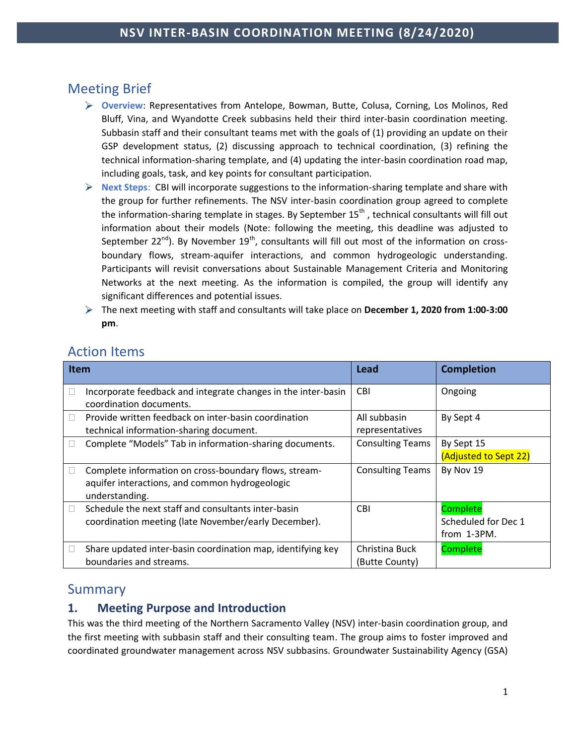# Meeting Brief

- **Overview**: Representatives from Antelope, Bowman, Butte, Colusa, Corning, Los Molinos, Red Bluff, Vina, and Wyandotte Creek subbasins held their third inter-basin coordination meeting. Subbasin staff and their consultant teams met with the goals of (1) providing an update on their GSP development status, (2) discussing approach to technical coordination, (3) refining the technical information-sharing template, and (4) updating the inter-basin coordination road map, including goals, task, and key points for consultant participation.
- **Next Steps**: CBI will incorporate suggestions to the information-sharing template and share with the group for further refinements. The NSV inter-basin coordination group agreed to complete the information-sharing template in stages. By September  $15<sup>th</sup>$ , technical consultants will fill out information about their models (Note: following the meeting, this deadline was adjusted to September 22<sup>nd</sup>). By November 19<sup>th</sup>, consultants will fill out most of the information on crossboundary flows, stream-aquifer interactions, and common hydrogeologic understanding. Participants will revisit conversations about Sustainable Management Criteria and Monitoring Networks at the next meeting. As the information is compiled, the group will identify any significant differences and potential issues.
- The next meeting with staff and consultants will take place on **December 1, 2020 from 1:00-3:00 pm**.

| <b>Item</b> |                                                                                                                           | Lead                             | <b>Completion</b>                              |
|-------------|---------------------------------------------------------------------------------------------------------------------------|----------------------------------|------------------------------------------------|
|             | Incorporate feedback and integrate changes in the inter-basin<br>coordination documents.                                  | <b>CBI</b>                       | Ongoing                                        |
|             | Provide written feedback on inter-basin coordination<br>technical information-sharing document.                           | All subbasin<br>representatives  | By Sept 4                                      |
|             | Complete "Models" Tab in information-sharing documents.                                                                   | <b>Consulting Teams</b>          | By Sept 15<br>(Adjusted to Sept 22)            |
|             | Complete information on cross-boundary flows, stream-<br>aquifer interactions, and common hydrogeologic<br>understanding. | <b>Consulting Teams</b>          | By Nov 19                                      |
|             | Schedule the next staff and consultants inter-basin<br>coordination meeting (late November/early December).               | <b>CBI</b>                       | Complete<br>Scheduled for Dec 1<br>from 1-3PM. |
|             | Share updated inter-basin coordination map, identifying key<br>boundaries and streams.                                    | Christina Buck<br>(Butte County) | Complete                                       |

## Action Items

## Summary

## **1. Meeting Purpose and Introduction**

This was the third meeting of the Northern Sacramento Valley (NSV) inter-basin coordination group, and the first meeting with subbasin staff and their consulting team. The group aims to foster improved and coordinated groundwater management across NSV subbasins. Groundwater Sustainability Agency (GSA)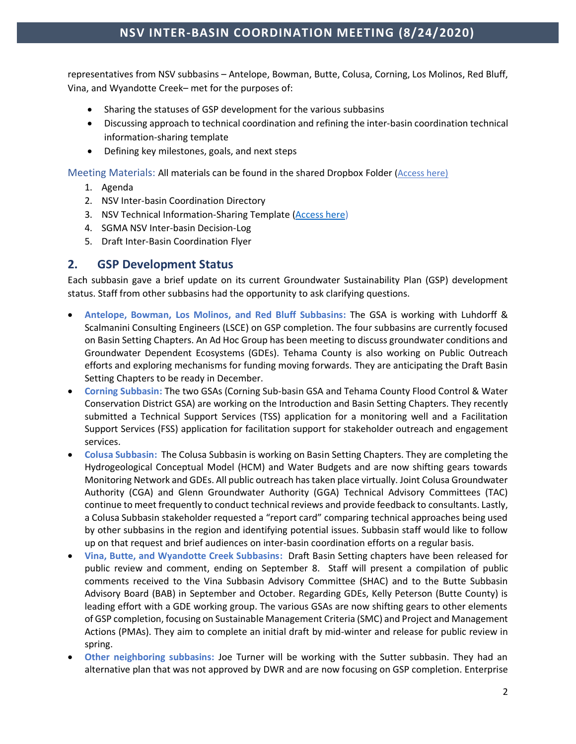representatives from NSV subbasins – Antelope, Bowman, Butte, Colusa, Corning, Los Molinos, Red Bluff, Vina, and Wyandotte Creek– met for the purposes of:

- Sharing the statuses of GSP development for the various subbasins
- Discussing approach to technical coordination and refining the inter-basin coordination technical information-sharing template
- Defining key milestones, goals, and next steps

Meeting Materials: All materials can be found in the shared Dropbox Folder (Acces[s here\)](https://www.dropbox.com/sh/9d71wsfku53s2gf/AACes77OCGvMKOXHjOeG5NtUa?dl=0)

- 1. Agenda
- 2. NSV Inter-basin Coordination Directory
- 3. NSV Technical Information-Sharing Template [\(Access here\)](https://www.dropbox.com/s/kphii15wux90j7h/2020-09-14_NSV_Technical_Information-Sharing_Template.xlsx?dl=0)
- 4. SGMA NSV Inter-basin Decision-Log
- 5. Draft Inter-Basin Coordination Flyer

#### **2. GSP Development Status**

Each subbasin gave a brief update on its current Groundwater Sustainability Plan (GSP) development status. Staff from other subbasins had the opportunity to ask clarifying questions.

- **Antelope, Bowman, Los Molinos, and Red Bluff Subbasins:** The GSA is working with Luhdorff & Scalmanini Consulting Engineers (LSCE) on GSP completion. The four subbasins are currently focused on Basin Setting Chapters. An Ad Hoc Group has been meeting to discuss groundwater conditions and Groundwater Dependent Ecosystems (GDEs). Tehama County is also working on Public Outreach efforts and exploring mechanisms for funding moving forwards. They are anticipating the Draft Basin Setting Chapters to be ready in December.
- **Corning Subbasin:** The two GSAs (Corning Sub-basin GSA and Tehama County Flood Control & Water Conservation District GSA) are working on the Introduction and Basin Setting Chapters. They recently submitted a Technical Support Services (TSS) application for a monitoring well and a Facilitation Support Services (FSS) application for facilitation support for stakeholder outreach and engagement services.
- **Colusa Subbasin:** The Colusa Subbasin is working on Basin Setting Chapters. They are completing the Hydrogeological Conceptual Model (HCM) and Water Budgets and are now shifting gears towards Monitoring Network and GDEs. All public outreach has taken place virtually. Joint Colusa Groundwater Authority (CGA) and Glenn Groundwater Authority (GGA) Technical Advisory Committees (TAC) continue to meet frequently to conduct technical reviews and provide feedback to consultants. Lastly, a Colusa Subbasin stakeholder requested a "report card" comparing technical approaches being used by other subbasins in the region and identifying potential issues. Subbasin staff would like to follow up on that request and brief audiences on inter-basin coordination efforts on a regular basis.
- **Vina, Butte, and Wyandotte Creek Subbasins:** Draft Basin Setting chapters have been released for public review and comment, ending on September 8. Staff will present a compilation of public comments received to the Vina Subbasin Advisory Committee (SHAC) and to the Butte Subbasin Advisory Board (BAB) in September and October. Regarding GDEs, Kelly Peterson (Butte County) is leading effort with a GDE working group. The various GSAs are now shifting gears to other elements of GSP completion, focusing on Sustainable Management Criteria (SMC) and Project and Management Actions (PMAs). They aim to complete an initial draft by mid-winter and release for public review in spring.
- **Other neighboring subbasins:** Joe Turner will be working with the Sutter subbasin. They had an alternative plan that was not approved by DWR and are now focusing on GSP completion. Enterprise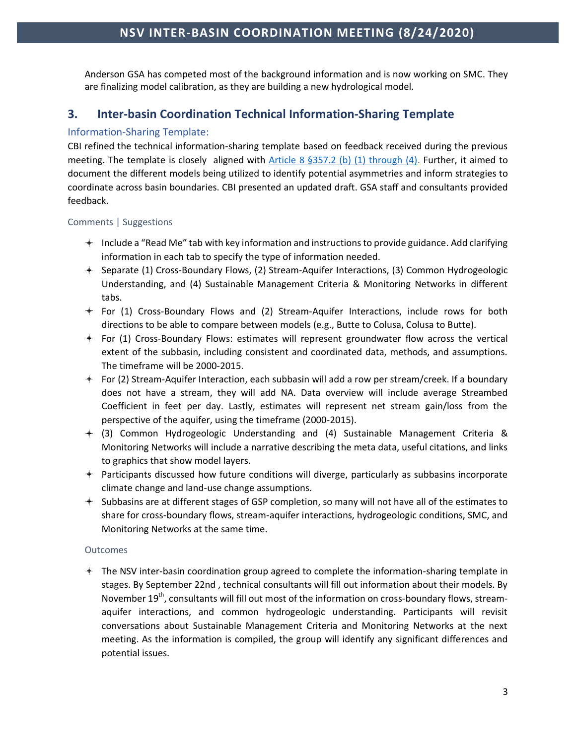Anderson GSA has competed most of the background information and is now working on SMC. They are finalizing model calibration, as they are building a new hydrological model.

## **3. Inter-basin Coordination Technical Information-Sharing Template**

#### Information-Sharing Template:

CBI refined the technical information-sharing template based on feedback received during the previous meeting. The template is closely aligned with Article 8  $\S 357.2$  (b) (1) through (4). Further, it aimed to document the different models being utilized to identify potential asymmetries and inform strategies to coordinate across basin boundaries. CBI presented an updated draft. GSA staff and consultants provided feedback.

#### Comments | Suggestions

- $+$  Include a "Read Me" tab with key information and instructions to provide guidance. Add clarifying information in each tab to specify the type of information needed.
- Separate (1) Cross-Boundary Flows, (2) Stream-Aquifer Interactions, (3) Common Hydrogeologic Understanding, and (4) Sustainable Management Criteria & Monitoring Networks in different tabs.
- $+$  For (1) Cross-Boundary Flows and (2) Stream-Aquifer Interactions, include rows for both directions to be able to compare between models (e.g., Butte to Colusa, Colusa to Butte).
- $+$  For (1) Cross-Boundary Flows: estimates will represent groundwater flow across the vertical extent of the subbasin, including consistent and coordinated data, methods, and assumptions. The timeframe will be 2000-2015.
- $+$  For (2) Stream-Aquifer Interaction, each subbasin will add a row per stream/creek. If a boundary does not have a stream, they will add NA. Data overview will include average Streambed Coefficient in feet per day. Lastly, estimates will represent net stream gain/loss from the perspective of the aquifer, using the timeframe (2000-2015).
- (3) Common Hydrogeologic Understanding and (4) Sustainable Management Criteria & Monitoring Networks will include a narrative describing the meta data, useful citations, and links to graphics that show model layers.
- Participants discussed how future conditions will diverge, particularly as subbasins incorporate climate change and land-use change assumptions.
- $+$  Subbasins are at different stages of GSP completion, so many will not have all of the estimates to share for cross-boundary flows, stream-aquifer interactions, hydrogeologic conditions, SMC, and Monitoring Networks at the same time.

#### **Outcomes**

The NSV inter-basin coordination group agreed to complete the information-sharing template in stages. By September 22nd , technical consultants will fill out information about their models. By November  $19<sup>th</sup>$ , consultants will fill out most of the information on cross-boundary flows, streamaquifer interactions, and common hydrogeologic understanding. Participants will revisit conversations about Sustainable Management Criteria and Monitoring Networks at the next meeting. As the information is compiled, the group will identify any significant differences and potential issues.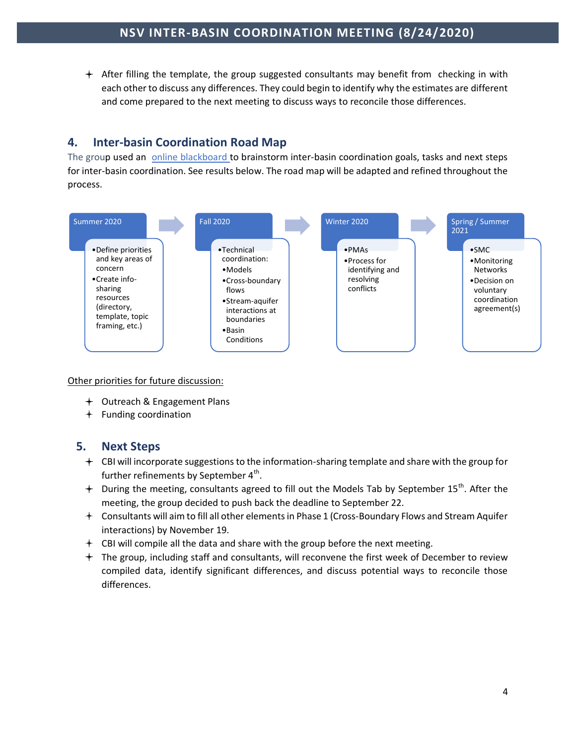$+$  After filling the template, the group suggested consultants may benefit from checking in with each other to discuss any differences. They could begin to identify why the estimates are different and come prepared to the next meeting to discuss ways to reconcile those differences.

## **4. Inter-basin Coordination Road Map**

The group used an [online blackboard](https://miro.com/welcomeonboard/QojaQ6UWxDEIzL1jnkDcYJYtlE5cgdVQPA8sVhOQiEkh2PynXzPds1MFWG7HIf87) to brainstorm inter-basin coordination goals, tasks and next steps for inter-basin coordination. See results below. The road map will be adapted and refined throughout the process.



Other priorities for future discussion:

- Outreach & Engagement Plans
- $+$  Funding coordination

#### **5. Next Steps**

- $+$  CBI will incorporate suggestions to the information-sharing template and share with the group for further refinements by September  $4^{\text{th}}$ .
- $+$  During the meeting, consultants agreed to fill out the Models Tab by September 15<sup>th</sup>. After the meeting, the group decided to push back the deadline to September 22.
- Consultants will aim to fill all other elements in Phase 1 (Cross-Boundary Flows and Stream Aquifer interactions) by November 19.
- $+$  CBI will compile all the data and share with the group before the next meeting.
- The group, including staff and consultants, will reconvene the first week of December to review compiled data, identify significant differences, and discuss potential ways to reconcile those differences.